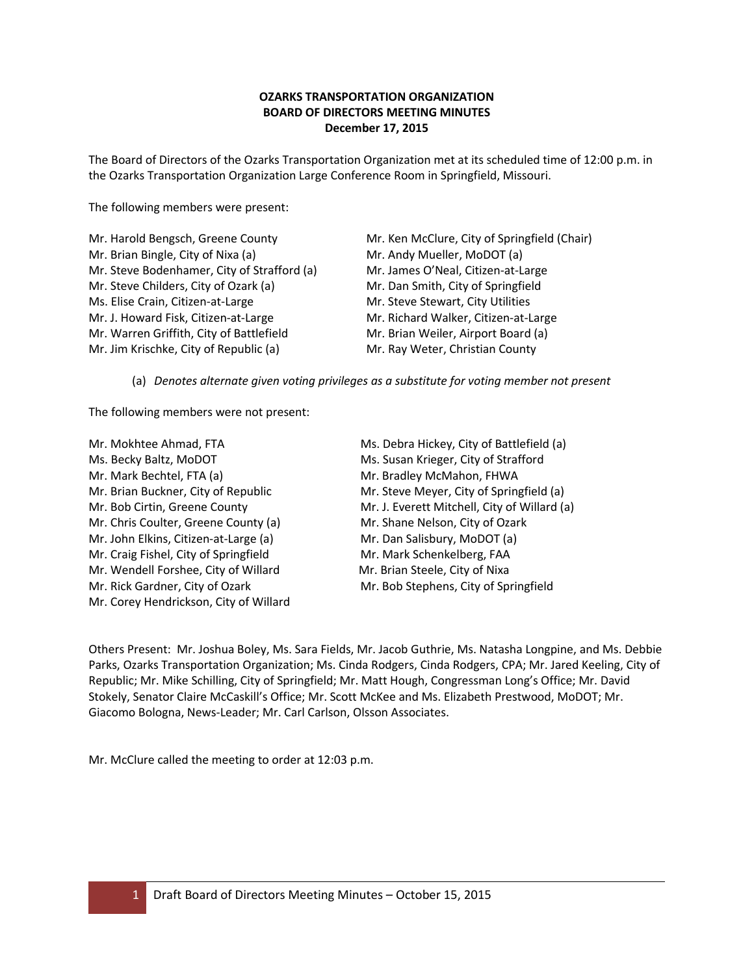## **OZARKS TRANSPORTATION ORGANIZATION BOARD OF DIRECTORS MEETING MINUTES December 17, 2015**

The Board of Directors of the Ozarks Transportation Organization met at its scheduled time of 12:00 p.m. in the Ozarks Transportation Organization Large Conference Room in Springfield, Missouri.

The following members were present:

| Mr. Harold Bengsch, Greene County           | Mr. Ken McClure, City of Springfield (Chair) |
|---------------------------------------------|----------------------------------------------|
| Mr. Brian Bingle, City of Nixa (a)          | Mr. Andy Mueller, MoDOT (a)                  |
| Mr. Steve Bodenhamer, City of Strafford (a) | Mr. James O'Neal, Citizen-at-Large           |
| Mr. Steve Childers, City of Ozark (a)       | Mr. Dan Smith, City of Springfield           |
| Ms. Elise Crain, Citizen-at-Large           | Mr. Steve Stewart, City Utilities            |
| Mr. J. Howard Fisk, Citizen-at-Large        | Mr. Richard Walker, Citizen-at-Large         |
| Mr. Warren Griffith, City of Battlefield    | Mr. Brian Weiler, Airport Board (a)          |
| Mr. Jim Krischke, City of Republic (a)      | Mr. Ray Weter, Christian County              |
|                                             |                                              |

(a) *Denotes alternate given voting privileges as a substitute for voting member not present*

The following members were not present:

| Mr. Mokhtee Ahmad, FTA                 | Ms. Debra Hickey  |
|----------------------------------------|-------------------|
| Ms. Becky Baltz, MoDOT                 | Ms. Susan Kriege  |
| Mr. Mark Bechtel, FTA (a)              | Mr. Bradley McN   |
| Mr. Brian Buckner, City of Republic    | Mr. Steve Meyer   |
| Mr. Bob Cirtin, Greene County          | Mr. J. Everett Mi |
| Mr. Chris Coulter, Greene County (a)   | Mr. Shane Nelso   |
| Mr. John Elkins, Citizen-at-Large (a)  | Mr. Dan Salisbur  |
| Mr. Craig Fishel, City of Springfield  | Mr. Mark Schenk   |
| Mr. Wendell Forshee, City of Willard   | Mr. Brian Steele, |
| Mr. Rick Gardner, City of Ozark        | Mr. Bob Stephen   |
| Mr. Corey Hendrickson, City of Willard |                   |

y, City of Battlefield (a) er, City of Strafford Mahon, FHWA , City of Springfield (a) itchell, City of Willard (a) n, City of Ozark y, MoDOT (a) kelberg, FAA City of Nixa Is, City of Springfield

Others Present: Mr. Joshua Boley, Ms. Sara Fields, Mr. Jacob Guthrie, Ms. Natasha Longpine, and Ms. Debbie Parks, Ozarks Transportation Organization; Ms. Cinda Rodgers, Cinda Rodgers, CPA; Mr. Jared Keeling, City of Republic; Mr. Mike Schilling, City of Springfield; Mr. Matt Hough, Congressman Long's Office; Mr. David Stokely, Senator Claire McCaskill's Office; Mr. Scott McKee and Ms. Elizabeth Prestwood, MoDOT; Mr. Giacomo Bologna, News-Leader; Mr. Carl Carlson, Olsson Associates.

Mr. McClure called the meeting to order at 12:03 p.m.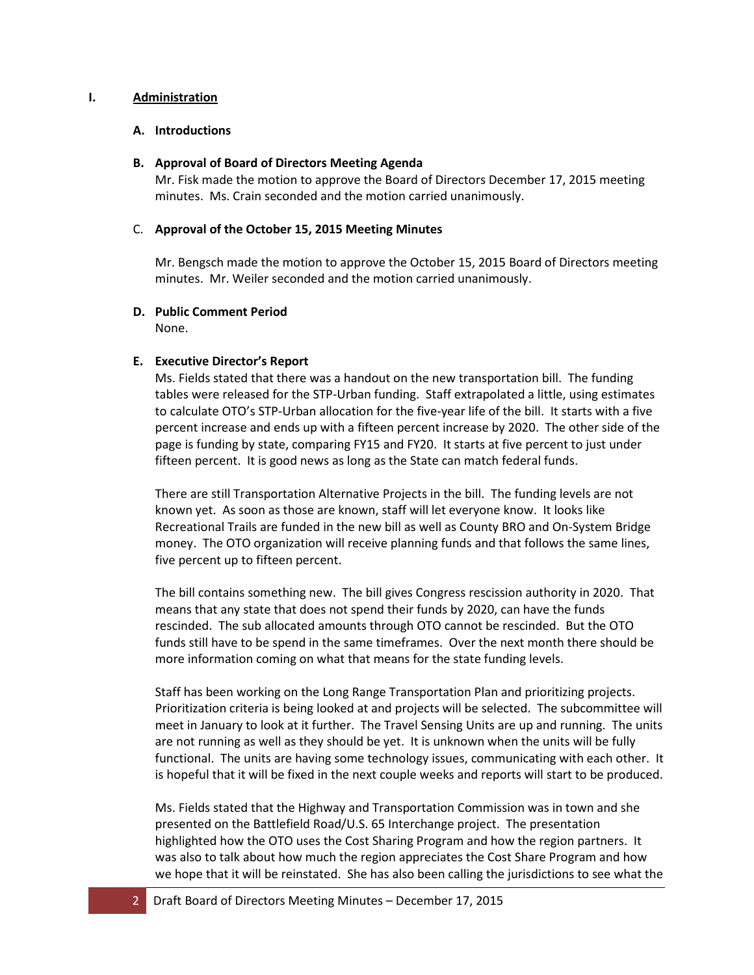### **I. Administration**

### **A. Introductions**

#### **B. Approval of Board of Directors Meeting Agenda**

Mr. Fisk made the motion to approve the Board of Directors December 17, 2015 meeting minutes. Ms. Crain seconded and the motion carried unanimously.

### C. **Approval of the October 15, 2015 Meeting Minutes**

Mr. Bengsch made the motion to approve the October 15, 2015 Board of Directors meeting minutes. Mr. Weiler seconded and the motion carried unanimously.

## **D. Public Comment Period**

None.

## **E. Executive Director's Report**

Ms. Fields stated that there was a handout on the new transportation bill. The funding tables were released for the STP-Urban funding. Staff extrapolated a little, using estimates to calculate OTO's STP-Urban allocation for the five-year life of the bill. It starts with a five percent increase and ends up with a fifteen percent increase by 2020. The other side of the page is funding by state, comparing FY15 and FY20. It starts at five percent to just under fifteen percent. It is good news as long as the State can match federal funds.

There are still Transportation Alternative Projects in the bill. The funding levels are not known yet. As soon as those are known, staff will let everyone know. It looks like Recreational Trails are funded in the new bill as well as County BRO and On-System Bridge money. The OTO organization will receive planning funds and that follows the same lines, five percent up to fifteen percent.

The bill contains something new. The bill gives Congress rescission authority in 2020. That means that any state that does not spend their funds by 2020, can have the funds rescinded. The sub allocated amounts through OTO cannot be rescinded. But the OTO funds still have to be spend in the same timeframes. Over the next month there should be more information coming on what that means for the state funding levels.

Staff has been working on the Long Range Transportation Plan and prioritizing projects. Prioritization criteria is being looked at and projects will be selected. The subcommittee will meet in January to look at it further. The Travel Sensing Units are up and running. The units are not running as well as they should be yet. It is unknown when the units will be fully functional. The units are having some technology issues, communicating with each other. It is hopeful that it will be fixed in the next couple weeks and reports will start to be produced.

Ms. Fields stated that the Highway and Transportation Commission was in town and she presented on the Battlefield Road/U.S. 65 Interchange project. The presentation highlighted how the OTO uses the Cost Sharing Program and how the region partners. It was also to talk about how much the region appreciates the Cost Share Program and how we hope that it will be reinstated. She has also been calling the jurisdictions to see what the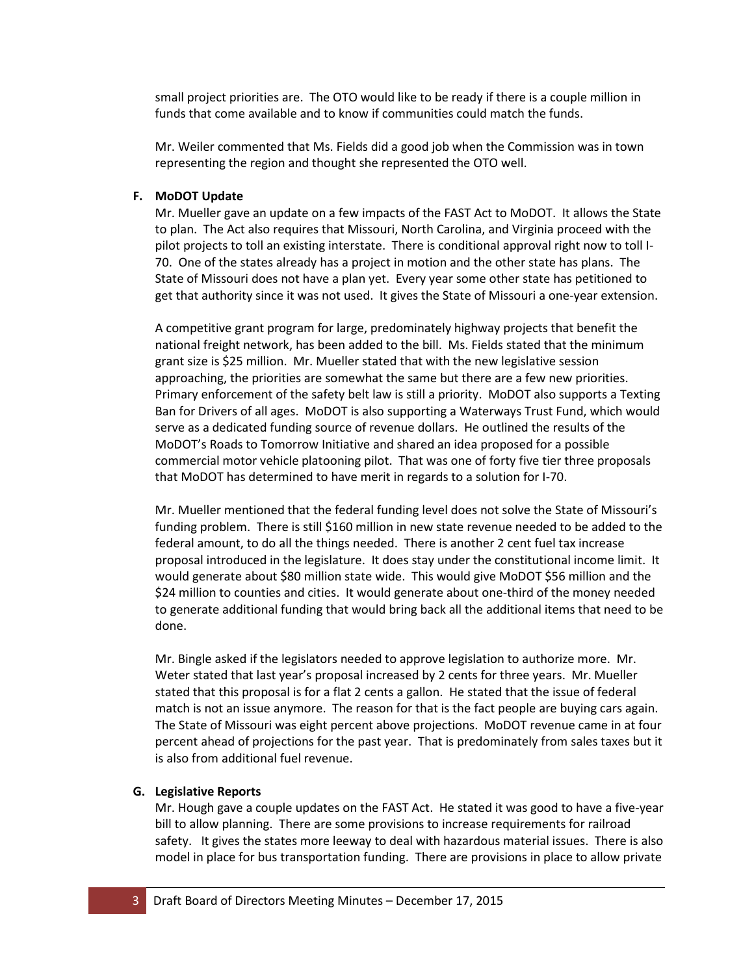small project priorities are. The OTO would like to be ready if there is a couple million in funds that come available and to know if communities could match the funds.

Mr. Weiler commented that Ms. Fields did a good job when the Commission was in town representing the region and thought she represented the OTO well.

## **F. MoDOT Update**

Mr. Mueller gave an update on a few impacts of the FAST Act to MoDOT. It allows the State to plan. The Act also requires that Missouri, North Carolina, and Virginia proceed with the pilot projects to toll an existing interstate. There is conditional approval right now to toll I-70. One of the states already has a project in motion and the other state has plans. The State of Missouri does not have a plan yet. Every year some other state has petitioned to get that authority since it was not used. It gives the State of Missouri a one-year extension.

A competitive grant program for large, predominately highway projects that benefit the national freight network, has been added to the bill. Ms. Fields stated that the minimum grant size is \$25 million. Mr. Mueller stated that with the new legislative session approaching, the priorities are somewhat the same but there are a few new priorities. Primary enforcement of the safety belt law is still a priority. MoDOT also supports a Texting Ban for Drivers of all ages. MoDOT is also supporting a Waterways Trust Fund, which would serve as a dedicated funding source of revenue dollars. He outlined the results of the MoDOT's Roads to Tomorrow Initiative and shared an idea proposed for a possible commercial motor vehicle platooning pilot. That was one of forty five tier three proposals that MoDOT has determined to have merit in regards to a solution for I-70.

Mr. Mueller mentioned that the federal funding level does not solve the State of Missouri's funding problem. There is still \$160 million in new state revenue needed to be added to the federal amount, to do all the things needed. There is another 2 cent fuel tax increase proposal introduced in the legislature. It does stay under the constitutional income limit. It would generate about \$80 million state wide. This would give MoDOT \$56 million and the \$24 million to counties and cities. It would generate about one-third of the money needed to generate additional funding that would bring back all the additional items that need to be done.

Mr. Bingle asked if the legislators needed to approve legislation to authorize more. Mr. Weter stated that last year's proposal increased by 2 cents for three years. Mr. Mueller stated that this proposal is for a flat 2 cents a gallon. He stated that the issue of federal match is not an issue anymore. The reason for that is the fact people are buying cars again. The State of Missouri was eight percent above projections. MoDOT revenue came in at four percent ahead of projections for the past year. That is predominately from sales taxes but it is also from additional fuel revenue.

#### **G. Legislative Reports**

Mr. Hough gave a couple updates on the FAST Act. He stated it was good to have a five-year bill to allow planning. There are some provisions to increase requirements for railroad safety. It gives the states more leeway to deal with hazardous material issues. There is also model in place for bus transportation funding. There are provisions in place to allow private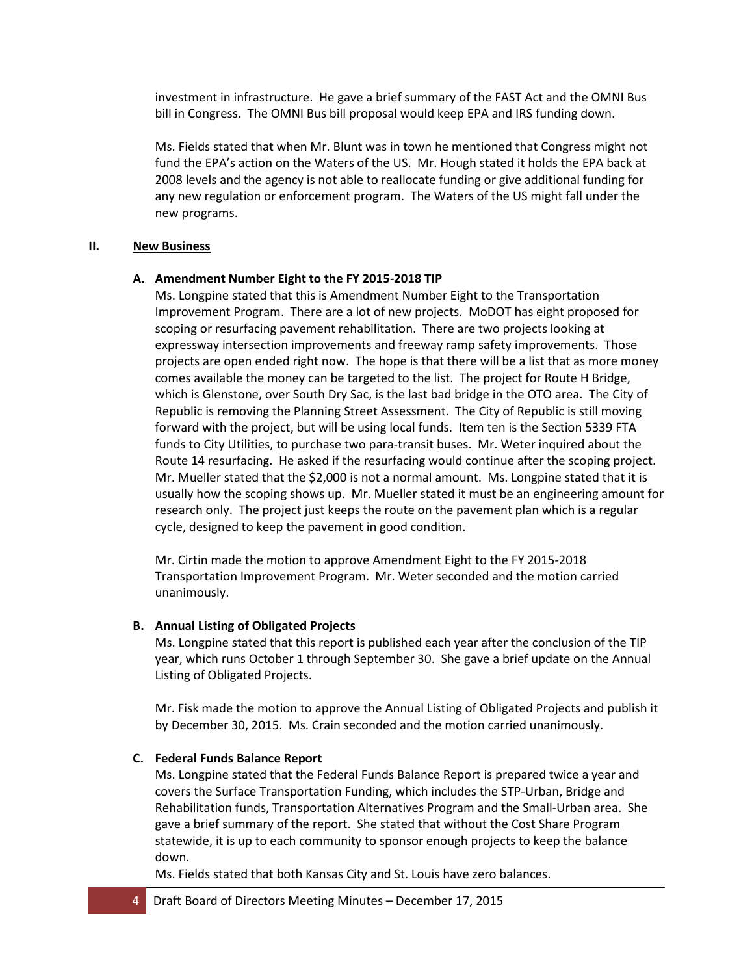investment in infrastructure. He gave a brief summary of the FAST Act and the OMNI Bus bill in Congress. The OMNI Bus bill proposal would keep EPA and IRS funding down.

Ms. Fields stated that when Mr. Blunt was in town he mentioned that Congress might not fund the EPA's action on the Waters of the US. Mr. Hough stated it holds the EPA back at 2008 levels and the agency is not able to reallocate funding or give additional funding for any new regulation or enforcement program. The Waters of the US might fall under the new programs.

#### **II. New Business**

### **A. Amendment Number Eight to the FY 2015-2018 TIP**

Ms. Longpine stated that this is Amendment Number Eight to the Transportation Improvement Program. There are a lot of new projects. MoDOT has eight proposed for scoping or resurfacing pavement rehabilitation. There are two projects looking at expressway intersection improvements and freeway ramp safety improvements. Those projects are open ended right now. The hope is that there will be a list that as more money comes available the money can be targeted to the list. The project for Route H Bridge, which is Glenstone, over South Dry Sac, is the last bad bridge in the OTO area. The City of Republic is removing the Planning Street Assessment. The City of Republic is still moving forward with the project, but will be using local funds. Item ten is the Section 5339 FTA funds to City Utilities, to purchase two para-transit buses. Mr. Weter inquired about the Route 14 resurfacing. He asked if the resurfacing would continue after the scoping project. Mr. Mueller stated that the \$2,000 is not a normal amount. Ms. Longpine stated that it is usually how the scoping shows up. Mr. Mueller stated it must be an engineering amount for research only. The project just keeps the route on the pavement plan which is a regular cycle, designed to keep the pavement in good condition.

Mr. Cirtin made the motion to approve Amendment Eight to the FY 2015-2018 Transportation Improvement Program. Mr. Weter seconded and the motion carried unanimously.

## **B. Annual Listing of Obligated Projects**

Ms. Longpine stated that this report is published each year after the conclusion of the TIP year, which runs October 1 through September 30. She gave a brief update on the Annual Listing of Obligated Projects.

Mr. Fisk made the motion to approve the Annual Listing of Obligated Projects and publish it by December 30, 2015. Ms. Crain seconded and the motion carried unanimously.

## **C. Federal Funds Balance Report**

Ms. Longpine stated that the Federal Funds Balance Report is prepared twice a year and covers the Surface Transportation Funding, which includes the STP-Urban, Bridge and Rehabilitation funds, Transportation Alternatives Program and the Small-Urban area. She gave a brief summary of the report. She stated that without the Cost Share Program statewide, it is up to each community to sponsor enough projects to keep the balance down.

Ms. Fields stated that both Kansas City and St. Louis have zero balances.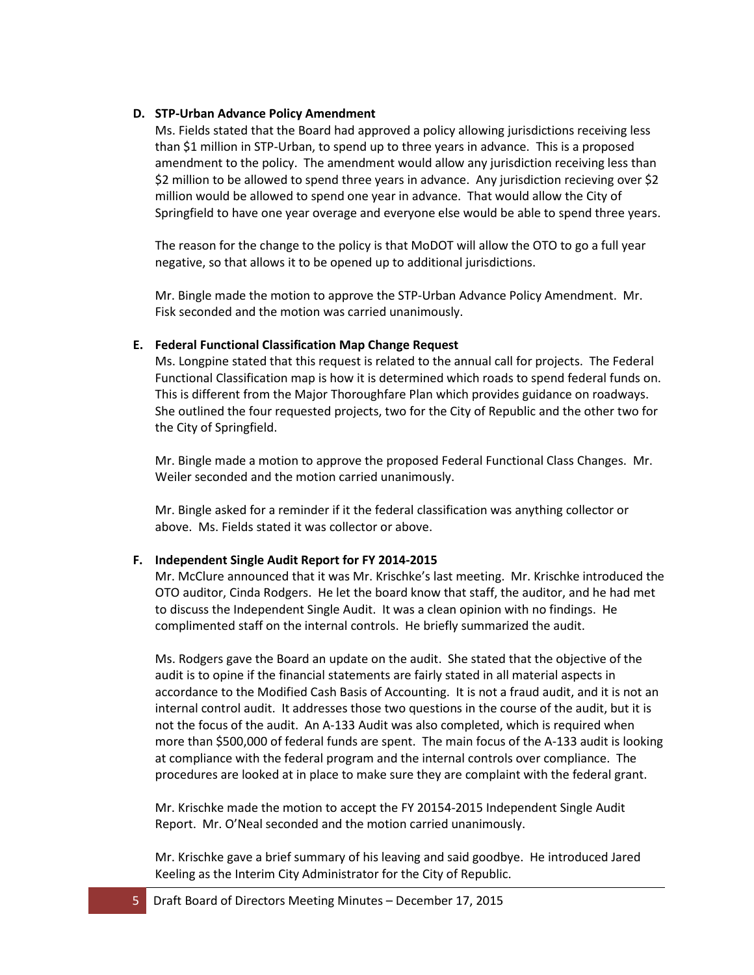### **D. STP-Urban Advance Policy Amendment**

Ms. Fields stated that the Board had approved a policy allowing jurisdictions receiving less than \$1 million in STP-Urban, to spend up to three years in advance. This is a proposed amendment to the policy. The amendment would allow any jurisdiction receiving less than \$2 million to be allowed to spend three years in advance. Any jurisdiction recieving over \$2 million would be allowed to spend one year in advance. That would allow the City of Springfield to have one year overage and everyone else would be able to spend three years.

The reason for the change to the policy is that MoDOT will allow the OTO to go a full year negative, so that allows it to be opened up to additional jurisdictions.

Mr. Bingle made the motion to approve the STP-Urban Advance Policy Amendment. Mr. Fisk seconded and the motion was carried unanimously.

### **E. Federal Functional Classification Map Change Request**

Ms. Longpine stated that this request is related to the annual call for projects. The Federal Functional Classification map is how it is determined which roads to spend federal funds on. This is different from the Major Thoroughfare Plan which provides guidance on roadways. She outlined the four requested projects, two for the City of Republic and the other two for the City of Springfield.

Mr. Bingle made a motion to approve the proposed Federal Functional Class Changes. Mr. Weiler seconded and the motion carried unanimously.

Mr. Bingle asked for a reminder if it the federal classification was anything collector or above. Ms. Fields stated it was collector or above.

## **F. Independent Single Audit Report for FY 2014-2015**

Mr. McClure announced that it was Mr. Krischke's last meeting. Mr. Krischke introduced the OTO auditor, Cinda Rodgers. He let the board know that staff, the auditor, and he had met to discuss the Independent Single Audit. It was a clean opinion with no findings. He complimented staff on the internal controls. He briefly summarized the audit.

Ms. Rodgers gave the Board an update on the audit. She stated that the objective of the audit is to opine if the financial statements are fairly stated in all material aspects in accordance to the Modified Cash Basis of Accounting. It is not a fraud audit, and it is not an internal control audit. It addresses those two questions in the course of the audit, but it is not the focus of the audit. An A-133 Audit was also completed, which is required when more than \$500,000 of federal funds are spent. The main focus of the A-133 audit is looking at compliance with the federal program and the internal controls over compliance. The procedures are looked at in place to make sure they are complaint with the federal grant.

Mr. Krischke made the motion to accept the FY 20154-2015 Independent Single Audit Report. Mr. O'Neal seconded and the motion carried unanimously.

Mr. Krischke gave a brief summary of his leaving and said goodbye. He introduced Jared Keeling as the Interim City Administrator for the City of Republic.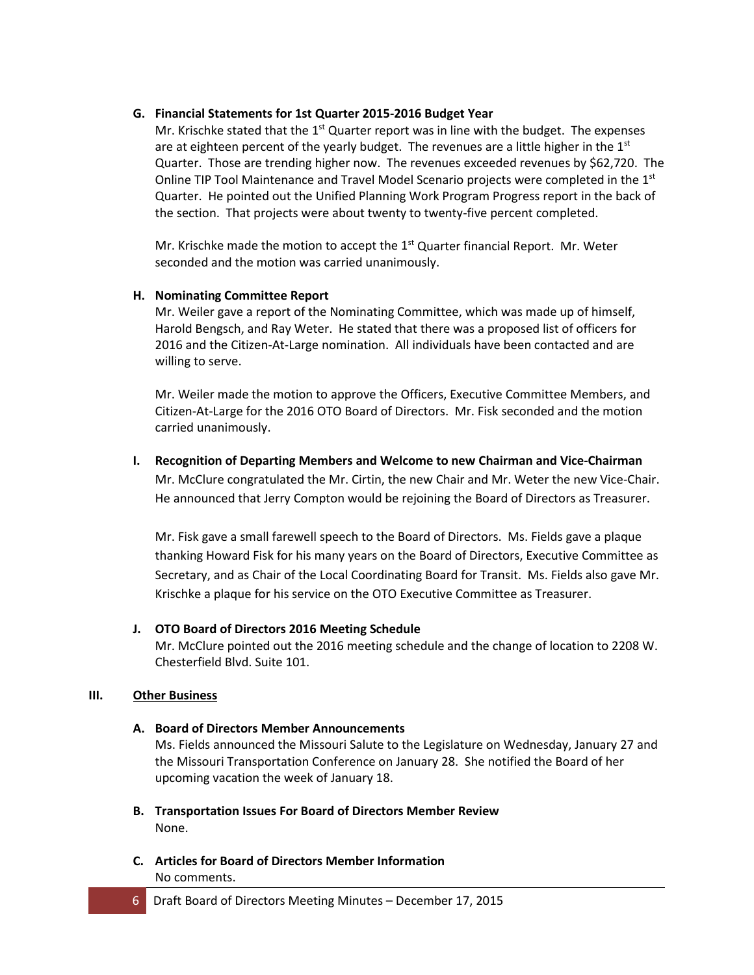## **G. Financial Statements for 1st Quarter 2015-2016 Budget Year**

Mr. Krischke stated that the  $1<sup>st</sup>$  Quarter report was in line with the budget. The expenses are at eighteen percent of the yearly budget. The revenues are a little higher in the  $1<sup>st</sup>$ Quarter. Those are trending higher now. The revenues exceeded revenues by \$62,720. The Online TIP Tool Maintenance and Travel Model Scenario projects were completed in the 1<sup>st</sup> Quarter. He pointed out the Unified Planning Work Program Progress report in the back of the section. That projects were about twenty to twenty-five percent completed.

Mr. Krischke made the motion to accept the  $1<sup>st</sup>$  Quarter financial Report. Mr. Weter seconded and the motion was carried unanimously.

## **H. Nominating Committee Report**

Mr. Weiler gave a report of the Nominating Committee, which was made up of himself, Harold Bengsch, and Ray Weter. He stated that there was a proposed list of officers for 2016 and the Citizen-At-Large nomination. All individuals have been contacted and are willing to serve.

Mr. Weiler made the motion to approve the Officers, Executive Committee Members, and Citizen-At-Large for the 2016 OTO Board of Directors. Mr. Fisk seconded and the motion carried unanimously.

# **I. Recognition of Departing Members and Welcome to new Chairman and Vice-Chairman** Mr. McClure congratulated the Mr. Cirtin, the new Chair and Mr. Weter the new Vice-Chair. He announced that Jerry Compton would be rejoining the Board of Directors as Treasurer.

Mr. Fisk gave a small farewell speech to the Board of Directors. Ms. Fields gave a plaque thanking Howard Fisk for his many years on the Board of Directors, Executive Committee as Secretary, and as Chair of the Local Coordinating Board for Transit. Ms. Fields also gave Mr. Krischke a plaque for his service on the OTO Executive Committee as Treasurer.

# **J. OTO Board of Directors 2016 Meeting Schedule**

Mr. McClure pointed out the 2016 meeting schedule and the change of location to 2208 W. Chesterfield Blvd. Suite 101.

## **III. Other Business**

# **A. Board of Directors Member Announcements**

Ms. Fields announced the Missouri Salute to the Legislature on Wednesday, January 27 and the Missouri Transportation Conference on January 28. She notified the Board of her upcoming vacation the week of January 18.

- **B. Transportation Issues For Board of Directors Member Review** None.
- **C. Articles for Board of Directors Member Information** No comments.